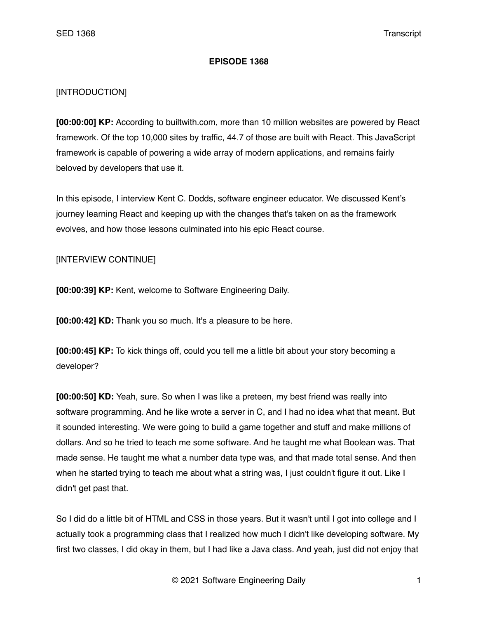## **EPISODE 1368**

## [INTRODUCTION]

**[00:00:00] KP:** According to builtwith.com, more than 10 million websites are powered by React framework. Of the top 10,000 sites by traffic, 44.7 of those are built with React. This JavaScript framework is capable of powering a wide array of modern applications, and remains fairly beloved by developers that use it.

In this episode, I interview Kent C. Dodds, software engineer educator. We discussed Kent's journey learning React and keeping up with the changes that's taken on as the framework evolves, and how those lessons culminated into his epic React course.

## [INTERVIEW CONTINUE]

**[00:00:39] KP:** Kent, welcome to Software Engineering Daily.

**[00:00:42] KD:** Thank you so much. It's a pleasure to be here.

**[00:00:45] KP:** To kick things off, could you tell me a little bit about your story becoming a developer?

**[00:00:50] KD:** Yeah, sure. So when I was like a preteen, my best friend was really into software programming. And he like wrote a server in C, and I had no idea what that meant. But it sounded interesting. We were going to build a game together and stuff and make millions of dollars. And so he tried to teach me some software. And he taught me what Boolean was. That made sense. He taught me what a number data type was, and that made total sense. And then when he started trying to teach me about what a string was, I just couldn't figure it out. Like I didn't get past that.

So I did do a little bit of HTML and CSS in those years. But it wasn't until I got into college and I actually took a programming class that I realized how much I didn't like developing software. My first two classes, I did okay in them, but I had like a Java class. And yeah, just did not enjoy that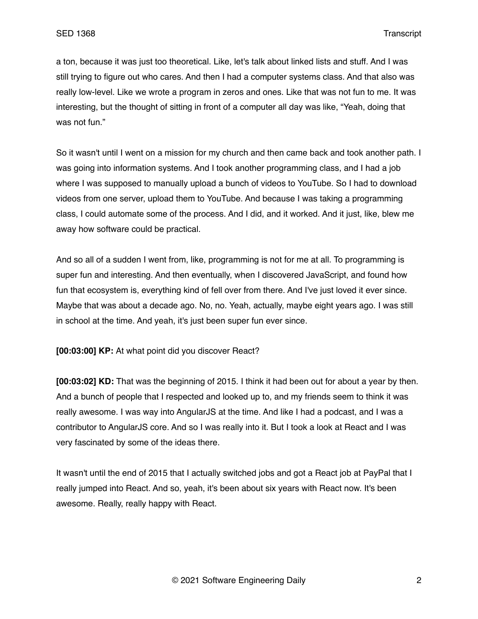a ton, because it was just too theoretical. Like, let's talk about linked lists and stuff. And I was still trying to figure out who cares. And then I had a computer systems class. And that also was really low-level. Like we wrote a program in zeros and ones. Like that was not fun to me. It was interesting, but the thought of sitting in front of a computer all day was like, "Yeah, doing that was not fun."

So it wasn't until I went on a mission for my church and then came back and took another path. I was going into information systems. And I took another programming class, and I had a job where I was supposed to manually upload a bunch of videos to YouTube. So I had to download videos from one server, upload them to YouTube. And because I was taking a programming class, I could automate some of the process. And I did, and it worked. And it just, like, blew me away how software could be practical.

And so all of a sudden I went from, like, programming is not for me at all. To programming is super fun and interesting. And then eventually, when I discovered JavaScript, and found how fun that ecosystem is, everything kind of fell over from there. And I've just loved it ever since. Maybe that was about a decade ago. No, no. Yeah, actually, maybe eight years ago. I was still in school at the time. And yeah, it's just been super fun ever since.

**[00:03:00] KP:** At what point did you discover React?

**[00:03:02] KD:** That was the beginning of 2015. I think it had been out for about a year by then. And a bunch of people that I respected and looked up to, and my friends seem to think it was really awesome. I was way into AngularJS at the time. And like I had a podcast, and I was a contributor to AngularJS core. And so I was really into it. But I took a look at React and I was very fascinated by some of the ideas there.

It wasn't until the end of 2015 that I actually switched jobs and got a React job at PayPal that I really jumped into React. And so, yeah, it's been about six years with React now. It's been awesome. Really, really happy with React.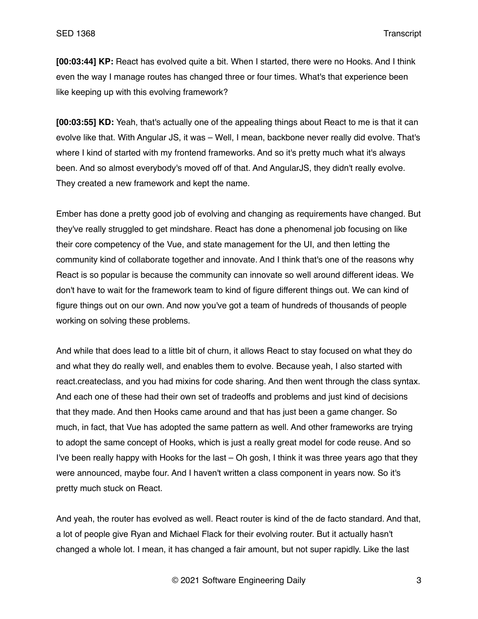**[00:03:44] KP:** React has evolved quite a bit. When I started, there were no Hooks. And I think even the way I manage routes has changed three or four times. What's that experience been like keeping up with this evolving framework?

**[00:03:55] KD:** Yeah, that's actually one of the appealing things about React to me is that it can evolve like that. With Angular JS, it was – Well, I mean, backbone never really did evolve. That's where I kind of started with my frontend frameworks. And so it's pretty much what it's always been. And so almost everybody's moved off of that. And AngularJS, they didn't really evolve. They created a new framework and kept the name.

Ember has done a pretty good job of evolving and changing as requirements have changed. But they've really struggled to get mindshare. React has done a phenomenal job focusing on like their core competency of the Vue, and state management for the UI, and then letting the community kind of collaborate together and innovate. And I think that's one of the reasons why React is so popular is because the community can innovate so well around different ideas. We don't have to wait for the framework team to kind of figure different things out. We can kind of figure things out on our own. And now you've got a team of hundreds of thousands of people working on solving these problems.

And while that does lead to a little bit of churn, it allows React to stay focused on what they do and what they do really well, and enables them to evolve. Because yeah, I also started with react.createclass, and you had mixins for code sharing. And then went through the class syntax. And each one of these had their own set of tradeoffs and problems and just kind of decisions that they made. And then Hooks came around and that has just been a game changer. So much, in fact, that Vue has adopted the same pattern as well. And other frameworks are trying to adopt the same concept of Hooks, which is just a really great model for code reuse. And so I've been really happy with Hooks for the last – Oh gosh, I think it was three years ago that they were announced, maybe four. And I haven't written a class component in years now. So it's pretty much stuck on React.

And yeah, the router has evolved as well. React router is kind of the de facto standard. And that, a lot of people give Ryan and Michael Flack for their evolving router. But it actually hasn't changed a whole lot. I mean, it has changed a fair amount, but not super rapidly. Like the last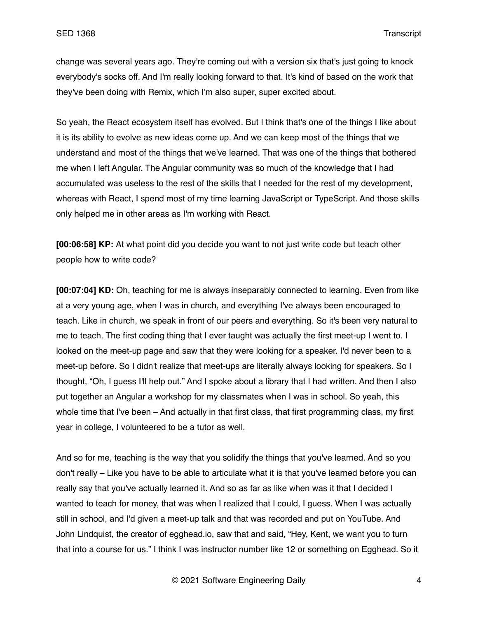change was several years ago. They're coming out with a version six that's just going to knock everybody's socks off. And I'm really looking forward to that. It's kind of based on the work that they've been doing with Remix, which I'm also super, super excited about.

So yeah, the React ecosystem itself has evolved. But I think that's one of the things I like about it is its ability to evolve as new ideas come up. And we can keep most of the things that we understand and most of the things that we've learned. That was one of the things that bothered me when I left Angular. The Angular community was so much of the knowledge that I had accumulated was useless to the rest of the skills that I needed for the rest of my development, whereas with React, I spend most of my time learning JavaScript or TypeScript. And those skills only helped me in other areas as I'm working with React.

**[00:06:58] KP:** At what point did you decide you want to not just write code but teach other people how to write code?

**[00:07:04] KD:** Oh, teaching for me is always inseparably connected to learning. Even from like at a very young age, when I was in church, and everything I've always been encouraged to teach. Like in church, we speak in front of our peers and everything. So it's been very natural to me to teach. The first coding thing that I ever taught was actually the first meet-up I went to. I looked on the meet-up page and saw that they were looking for a speaker. I'd never been to a meet-up before. So I didn't realize that meet-ups are literally always looking for speakers. So I thought, "Oh, I guess I'll help out." And I spoke about a library that I had written. And then I also put together an Angular a workshop for my classmates when I was in school. So yeah, this whole time that I've been – And actually in that first class, that first programming class, my first year in college, I volunteered to be a tutor as well.

And so for me, teaching is the way that you solidify the things that you've learned. And so you don't really – Like you have to be able to articulate what it is that you've learned before you can really say that you've actually learned it. And so as far as like when was it that I decided I wanted to teach for money, that was when I realized that I could, I guess. When I was actually still in school, and I'd given a meet-up talk and that was recorded and put on YouTube. And John Lindquist, the creator of egghead.io, saw that and said, "Hey, Kent, we want you to turn that into a course for us." I think I was instructor number like 12 or something on Egghead. So it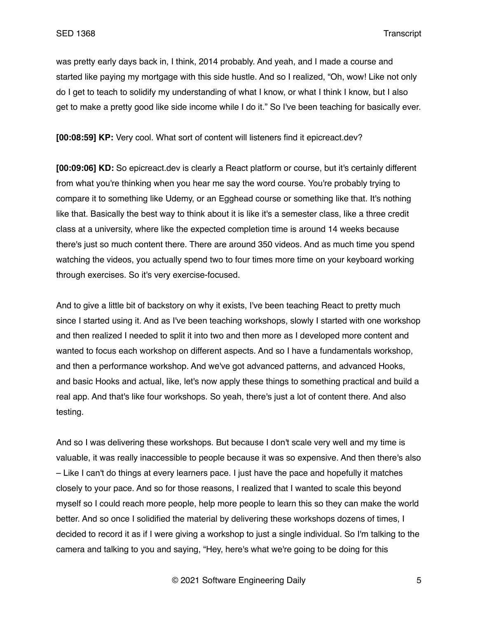was pretty early days back in, I think, 2014 probably. And yeah, and I made a course and started like paying my mortgage with this side hustle. And so I realized, "Oh, wow! Like not only do I get to teach to solidify my understanding of what I know, or what I think I know, but I also get to make a pretty good like side income while I do it." So I've been teaching for basically ever.

**[00:08:59] KP:** Very cool. What sort of content will listeners find it epicreact.dev?

**[00:09:06] KD:** So epicreact.dev is clearly a React platform or course, but it's certainly different from what you're thinking when you hear me say the word course. You're probably trying to compare it to something like Udemy, or an Egghead course or something like that. It's nothing like that. Basically the best way to think about it is like it's a semester class, like a three credit class at a university, where like the expected completion time is around 14 weeks because there's just so much content there. There are around 350 videos. And as much time you spend watching the videos, you actually spend two to four times more time on your keyboard working through exercises. So it's very exercise-focused.

And to give a little bit of backstory on why it exists, I've been teaching React to pretty much since I started using it. And as I've been teaching workshops, slowly I started with one workshop and then realized I needed to split it into two and then more as I developed more content and wanted to focus each workshop on different aspects. And so I have a fundamentals workshop, and then a performance workshop. And we've got advanced patterns, and advanced Hooks, and basic Hooks and actual, like, let's now apply these things to something practical and build a real app. And that's like four workshops. So yeah, there's just a lot of content there. And also testing.

And so I was delivering these workshops. But because I don't scale very well and my time is valuable, it was really inaccessible to people because it was so expensive. And then there's also – Like I can't do things at every learners pace. I just have the pace and hopefully it matches closely to your pace. And so for those reasons, I realized that I wanted to scale this beyond myself so I could reach more people, help more people to learn this so they can make the world better. And so once I solidified the material by delivering these workshops dozens of times, I decided to record it as if I were giving a workshop to just a single individual. So I'm talking to the camera and talking to you and saying, "Hey, here's what we're going to be doing for this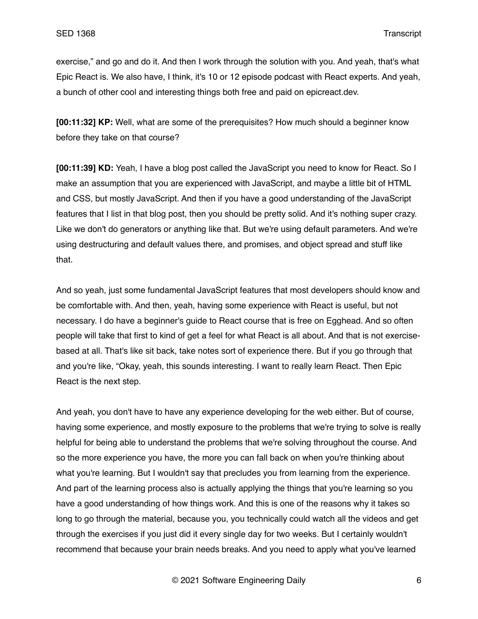exercise," and go and do it. And then I work through the solution with you. And yeah, that's what Epic React is. We also have, I think, it's 10 or 12 episode podcast with React experts. And yeah, a bunch of other cool and interesting things both free and paid on epicreact.dev.

**[00:11:32] KP:** Well, what are some of the prerequisites? How much should a beginner know before they take on that course?

**[00:11:39] KD:** Yeah, I have a blog post called the JavaScript you need to know for React. So I make an assumption that you are experienced with JavaScript, and maybe a little bit of HTML and CSS, but mostly JavaScript. And then if you have a good understanding of the JavaScript features that I list in that blog post, then you should be pretty solid. And it's nothing super crazy. Like we don't do generators or anything like that. But we're using default parameters. And we're using destructuring and default values there, and promises, and object spread and stuff like that.

And so yeah, just some fundamental JavaScript features that most developers should know and be comfortable with. And then, yeah, having some experience with React is useful, but not necessary. I do have a beginner's guide to React course that is free on Egghead. And so often people will take that first to kind of get a feel for what React is all about. And that is not exercisebased at all. That's like sit back, take notes sort of experience there. But if you go through that and you're like, "Okay, yeah, this sounds interesting. I want to really learn React. Then Epic React is the next step.

And yeah, you don't have to have any experience developing for the web either. But of course, having some experience, and mostly exposure to the problems that we're trying to solve is really helpful for being able to understand the problems that we're solving throughout the course. And so the more experience you have, the more you can fall back on when you're thinking about what you're learning. But I wouldn't say that precludes you from learning from the experience. And part of the learning process also is actually applying the things that you're learning so you have a good understanding of how things work. And this is one of the reasons why it takes so long to go through the material, because you, you technically could watch all the videos and get through the exercises if you just did it every single day for two weeks. But I certainly wouldn't recommend that because your brain needs breaks. And you need to apply what you've learned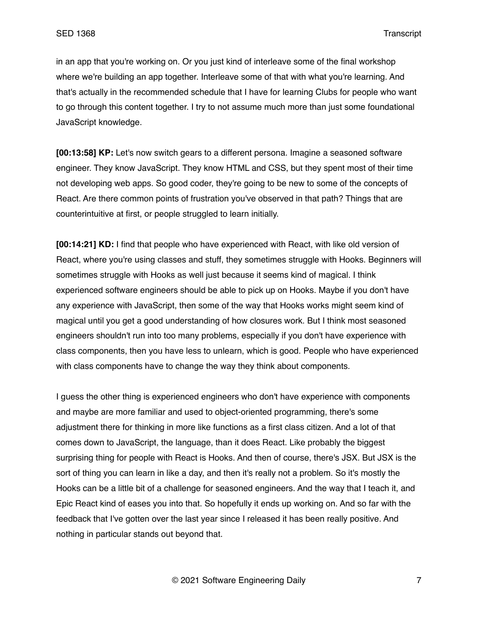in an app that you're working on. Or you just kind of interleave some of the final workshop where we're building an app together. Interleave some of that with what you're learning. And that's actually in the recommended schedule that I have for learning Clubs for people who want to go through this content together. I try to not assume much more than just some foundational JavaScript knowledge.

**[00:13:58] KP:** Let's now switch gears to a different persona. Imagine a seasoned software engineer. They know JavaScript. They know HTML and CSS, but they spent most of their time not developing web apps. So good coder, they're going to be new to some of the concepts of React. Are there common points of frustration you've observed in that path? Things that are counterintuitive at first, or people struggled to learn initially.

**[00:14:21] KD:** I find that people who have experienced with React, with like old version of React, where you're using classes and stuff, they sometimes struggle with Hooks. Beginners will sometimes struggle with Hooks as well just because it seems kind of magical. I think experienced software engineers should be able to pick up on Hooks. Maybe if you don't have any experience with JavaScript, then some of the way that Hooks works might seem kind of magical until you get a good understanding of how closures work. But I think most seasoned engineers shouldn't run into too many problems, especially if you don't have experience with class components, then you have less to unlearn, which is good. People who have experienced with class components have to change the way they think about components.

I guess the other thing is experienced engineers who don't have experience with components and maybe are more familiar and used to object-oriented programming, there's some adjustment there for thinking in more like functions as a first class citizen. And a lot of that comes down to JavaScript, the language, than it does React. Like probably the biggest surprising thing for people with React is Hooks. And then of course, there's JSX. But JSX is the sort of thing you can learn in like a day, and then it's really not a problem. So it's mostly the Hooks can be a little bit of a challenge for seasoned engineers. And the way that I teach it, and Epic React kind of eases you into that. So hopefully it ends up working on. And so far with the feedback that I've gotten over the last year since I released it has been really positive. And nothing in particular stands out beyond that.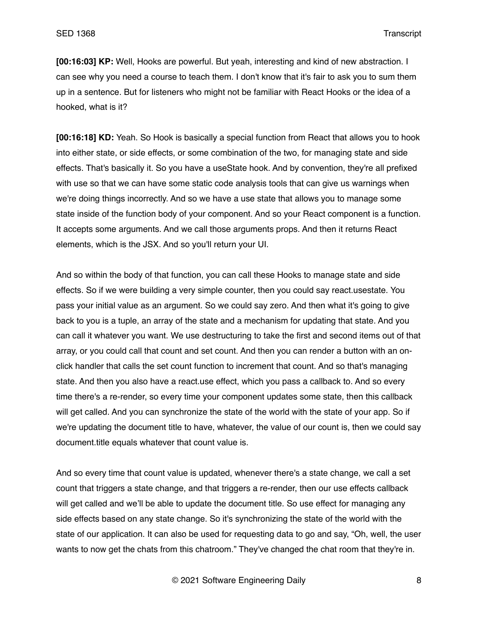**[00:16:03] KP:** Well, Hooks are powerful. But yeah, interesting and kind of new abstraction. I can see why you need a course to teach them. I don't know that it's fair to ask you to sum them up in a sentence. But for listeners who might not be familiar with React Hooks or the idea of a hooked, what is it?

**[00:16:18] KD:** Yeah. So Hook is basically a special function from React that allows you to hook into either state, or side effects, or some combination of the two, for managing state and side effects. That's basically it. So you have a useState hook. And by convention, they're all prefixed with use so that we can have some static code analysis tools that can give us warnings when we're doing things incorrectly. And so we have a use state that allows you to manage some state inside of the function body of your component. And so your React component is a function. It accepts some arguments. And we call those arguments props. And then it returns React elements, which is the JSX. And so you'll return your UI.

And so within the body of that function, you can call these Hooks to manage state and side effects. So if we were building a very simple counter, then you could say react.usestate. You pass your initial value as an argument. So we could say zero. And then what it's going to give back to you is a tuple, an array of the state and a mechanism for updating that state. And you can call it whatever you want. We use destructuring to take the first and second items out of that array, or you could call that count and set count. And then you can render a button with an onclick handler that calls the set count function to increment that count. And so that's managing state. And then you also have a react.use effect, which you pass a callback to. And so every time there's a re-render, so every time your component updates some state, then this callback will get called. And you can synchronize the state of the world with the state of your app. So if we're updating the document title to have, whatever, the value of our count is, then we could say document.title equals whatever that count value is.

And so every time that count value is updated, whenever there's a state change, we call a set count that triggers a state change, and that triggers a re-render, then our use effects callback will get called and we'll be able to update the document title. So use effect for managing any side effects based on any state change. So it's synchronizing the state of the world with the state of our application. It can also be used for requesting data to go and say, "Oh, well, the user wants to now get the chats from this chatroom." They've changed the chat room that they're in.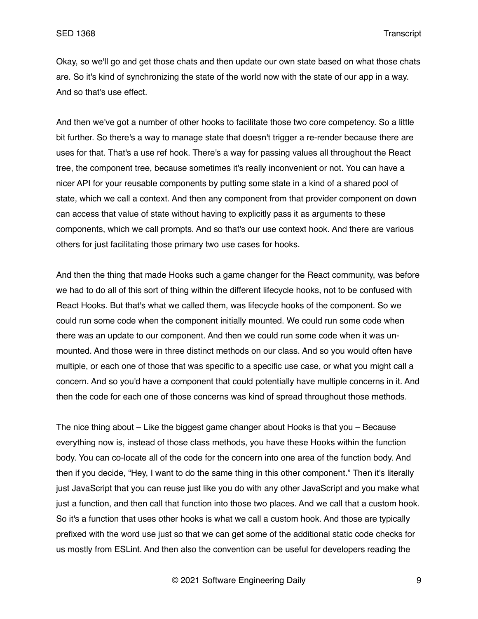Okay, so we'll go and get those chats and then update our own state based on what those chats are. So it's kind of synchronizing the state of the world now with the state of our app in a way. And so that's use effect.

And then we've got a number of other hooks to facilitate those two core competency. So a little bit further. So there's a way to manage state that doesn't trigger a re-render because there are uses for that. That's a use ref hook. There's a way for passing values all throughout the React tree, the component tree, because sometimes it's really inconvenient or not. You can have a nicer API for your reusable components by putting some state in a kind of a shared pool of state, which we call a context. And then any component from that provider component on down can access that value of state without having to explicitly pass it as arguments to these components, which we call prompts. And so that's our use context hook. And there are various others for just facilitating those primary two use cases for hooks.

And then the thing that made Hooks such a game changer for the React community, was before we had to do all of this sort of thing within the different lifecycle hooks, not to be confused with React Hooks. But that's what we called them, was lifecycle hooks of the component. So we could run some code when the component initially mounted. We could run some code when there was an update to our component. And then we could run some code when it was unmounted. And those were in three distinct methods on our class. And so you would often have multiple, or each one of those that was specific to a specific use case, or what you might call a concern. And so you'd have a component that could potentially have multiple concerns in it. And then the code for each one of those concerns was kind of spread throughout those methods.

The nice thing about – Like the biggest game changer about Hooks is that you – Because everything now is, instead of those class methods, you have these Hooks within the function body. You can co-locate all of the code for the concern into one area of the function body. And then if you decide, "Hey, I want to do the same thing in this other component." Then it's literally just JavaScript that you can reuse just like you do with any other JavaScript and you make what just a function, and then call that function into those two places. And we call that a custom hook. So it's a function that uses other hooks is what we call a custom hook. And those are typically prefixed with the word use just so that we can get some of the additional static code checks for us mostly from ESLint. And then also the convention can be useful for developers reading the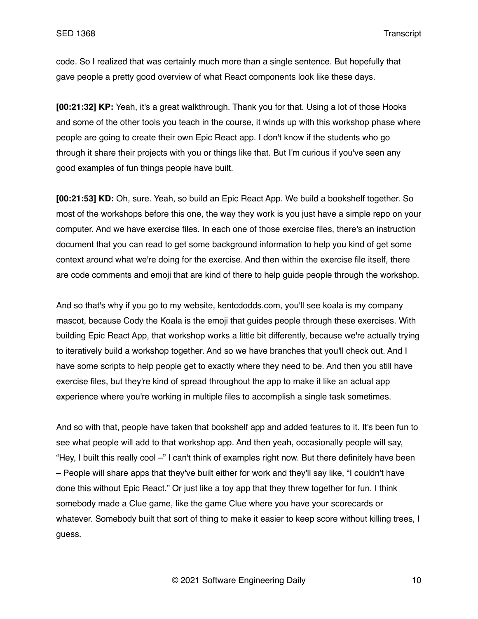code. So I realized that was certainly much more than a single sentence. But hopefully that gave people a pretty good overview of what React components look like these days.

**[00:21:32] KP:** Yeah, it's a great walkthrough. Thank you for that. Using a lot of those Hooks and some of the other tools you teach in the course, it winds up with this workshop phase where people are going to create their own Epic React app. I don't know if the students who go through it share their projects with you or things like that. But I'm curious if you've seen any good examples of fun things people have built.

**[00:21:53] KD:** Oh, sure. Yeah, so build an Epic React App. We build a bookshelf together. So most of the workshops before this one, the way they work is you just have a simple repo on your computer. And we have exercise files. In each one of those exercise files, there's an instruction document that you can read to get some background information to help you kind of get some context around what we're doing for the exercise. And then within the exercise file itself, there are code comments and emoji that are kind of there to help guide people through the workshop.

And so that's why if you go to my website, kentcdodds.com, you'll see koala is my company mascot, because Cody the Koala is the emoji that guides people through these exercises. With building Epic React App, that workshop works a little bit differently, because we're actually trying to iteratively build a workshop together. And so we have branches that you'll check out. And I have some scripts to help people get to exactly where they need to be. And then you still have exercise files, but they're kind of spread throughout the app to make it like an actual app experience where you're working in multiple files to accomplish a single task sometimes.

And so with that, people have taken that bookshelf app and added features to it. It's been fun to see what people will add to that workshop app. And then yeah, occasionally people will say, "Hey, I built this really cool –" I can't think of examples right now. But there definitely have been – People will share apps that they've built either for work and they'll say like, "I couldn't have done this without Epic React." Or just like a toy app that they threw together for fun. I think somebody made a Clue game, like the game Clue where you have your scorecards or whatever. Somebody built that sort of thing to make it easier to keep score without killing trees, I guess.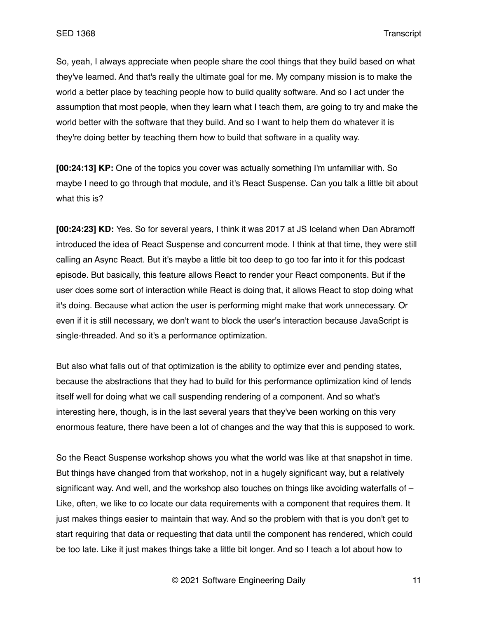So, yeah, I always appreciate when people share the cool things that they build based on what they've learned. And that's really the ultimate goal for me. My company mission is to make the world a better place by teaching people how to build quality software. And so I act under the assumption that most people, when they learn what I teach them, are going to try and make the world better with the software that they build. And so I want to help them do whatever it is they're doing better by teaching them how to build that software in a quality way.

**[00:24:13] KP:** One of the topics you cover was actually something I'm unfamiliar with. So maybe I need to go through that module, and it's React Suspense. Can you talk a little bit about what this is?

**[00:24:23] KD:** Yes. So for several years, I think it was 2017 at JS Iceland when Dan Abramoff introduced the idea of React Suspense and concurrent mode. I think at that time, they were still calling an Async React. But it's maybe a little bit too deep to go too far into it for this podcast episode. But basically, this feature allows React to render your React components. But if the user does some sort of interaction while React is doing that, it allows React to stop doing what it's doing. Because what action the user is performing might make that work unnecessary. Or even if it is still necessary, we don't want to block the user's interaction because JavaScript is single-threaded. And so it's a performance optimization.

But also what falls out of that optimization is the ability to optimize ever and pending states, because the abstractions that they had to build for this performance optimization kind of lends itself well for doing what we call suspending rendering of a component. And so what's interesting here, though, is in the last several years that they've been working on this very enormous feature, there have been a lot of changes and the way that this is supposed to work.

So the React Suspense workshop shows you what the world was like at that snapshot in time. But things have changed from that workshop, not in a hugely significant way, but a relatively significant way. And well, and the workshop also touches on things like avoiding waterfalls of  $-$ Like, often, we like to co locate our data requirements with a component that requires them. It just makes things easier to maintain that way. And so the problem with that is you don't get to start requiring that data or requesting that data until the component has rendered, which could be too late. Like it just makes things take a little bit longer. And so I teach a lot about how to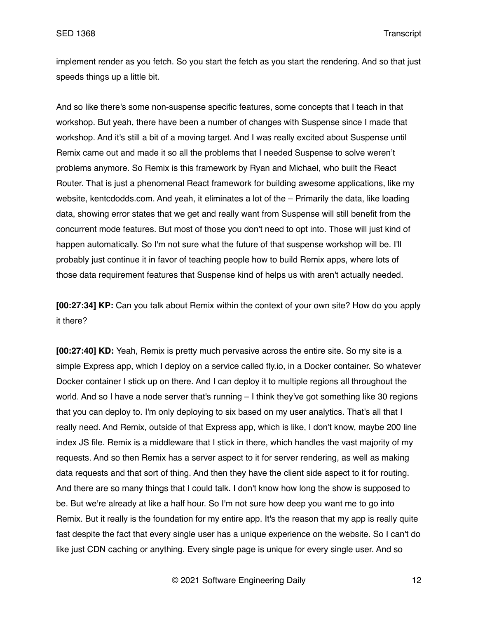implement render as you fetch. So you start the fetch as you start the rendering. And so that just speeds things up a little bit.

And so like there's some non-suspense specific features, some concepts that I teach in that workshop. But yeah, there have been a number of changes with Suspense since I made that workshop. And it's still a bit of a moving target. And I was really excited about Suspense until Remix came out and made it so all the problems that I needed Suspense to solve weren't problems anymore. So Remix is this framework by Ryan and Michael, who built the React Router. That is just a phenomenal React framework for building awesome applications, like my website, kentcdodds.com. And yeah, it eliminates a lot of the – Primarily the data, like loading data, showing error states that we get and really want from Suspense will still benefit from the concurrent mode features. But most of those you don't need to opt into. Those will just kind of happen automatically. So I'm not sure what the future of that suspense workshop will be. I'll probably just continue it in favor of teaching people how to build Remix apps, where lots of those data requirement features that Suspense kind of helps us with aren't actually needed.

**[00:27:34] KP:** Can you talk about Remix within the context of your own site? How do you apply it there?

**[00:27:40] KD:** Yeah, Remix is pretty much pervasive across the entire site. So my site is a simple Express app, which I deploy on a service called fly.io, in a Docker container. So whatever Docker container I stick up on there. And I can deploy it to multiple regions all throughout the world. And so I have a node server that's running – I think they've got something like 30 regions that you can deploy to. I'm only deploying to six based on my user analytics. That's all that I really need. And Remix, outside of that Express app, which is like, I don't know, maybe 200 line index JS file. Remix is a middleware that I stick in there, which handles the vast majority of my requests. And so then Remix has a server aspect to it for server rendering, as well as making data requests and that sort of thing. And then they have the client side aspect to it for routing. And there are so many things that I could talk. I don't know how long the show is supposed to be. But we're already at like a half hour. So I'm not sure how deep you want me to go into Remix. But it really is the foundation for my entire app. It's the reason that my app is really quite fast despite the fact that every single user has a unique experience on the website. So I can't do like just CDN caching or anything. Every single page is unique for every single user. And so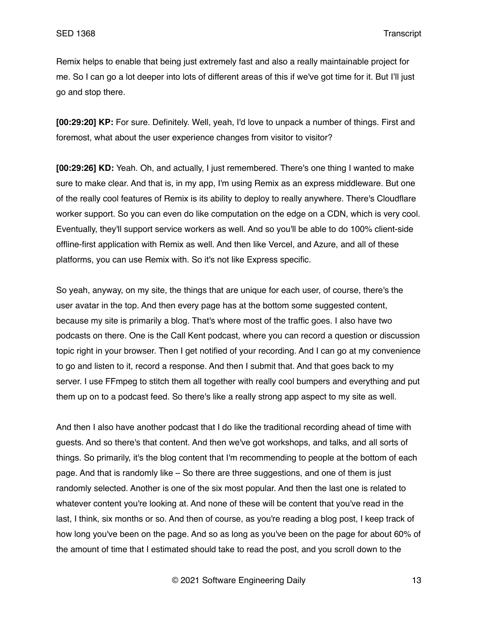Remix helps to enable that being just extremely fast and also a really maintainable project for me. So I can go a lot deeper into lots of different areas of this if we've got time for it. But I'll just go and stop there.

**[00:29:20] KP:** For sure. Definitely. Well, yeah, I'd love to unpack a number of things. First and foremost, what about the user experience changes from visitor to visitor?

**[00:29:26] KD:** Yeah. Oh, and actually, I just remembered. There's one thing I wanted to make sure to make clear. And that is, in my app, I'm using Remix as an express middleware. But one of the really cool features of Remix is its ability to deploy to really anywhere. There's Cloudflare worker support. So you can even do like computation on the edge on a CDN, which is very cool. Eventually, they'll support service workers as well. And so you'll be able to do 100% client-side offline-first application with Remix as well. And then like Vercel, and Azure, and all of these platforms, you can use Remix with. So it's not like Express specific.

So yeah, anyway, on my site, the things that are unique for each user, of course, there's the user avatar in the top. And then every page has at the bottom some suggested content, because my site is primarily a blog. That's where most of the traffic goes. I also have two podcasts on there. One is the Call Kent podcast, where you can record a question or discussion topic right in your browser. Then I get notified of your recording. And I can go at my convenience to go and listen to it, record a response. And then I submit that. And that goes back to my server. I use FFmpeg to stitch them all together with really cool bumpers and everything and put them up on to a podcast feed. So there's like a really strong app aspect to my site as well.

And then I also have another podcast that I do like the traditional recording ahead of time with guests. And so there's that content. And then we've got workshops, and talks, and all sorts of things. So primarily, it's the blog content that I'm recommending to people at the bottom of each page. And that is randomly like – So there are three suggestions, and one of them is just randomly selected. Another is one of the six most popular. And then the last one is related to whatever content you're looking at. And none of these will be content that you've read in the last, I think, six months or so. And then of course, as you're reading a blog post, I keep track of how long you've been on the page. And so as long as you've been on the page for about 60% of the amount of time that I estimated should take to read the post, and you scroll down to the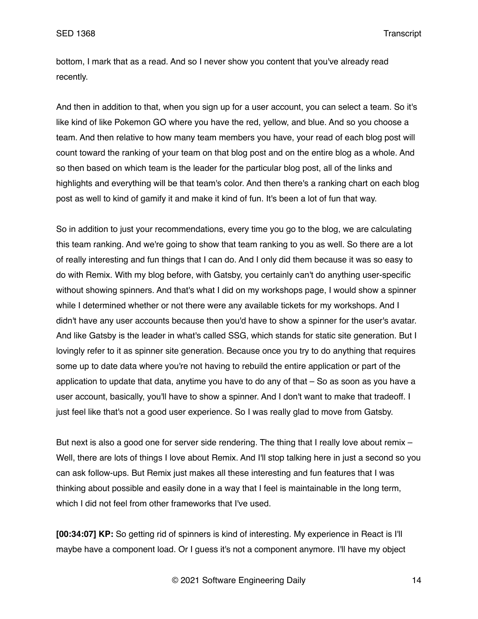bottom, I mark that as a read. And so I never show you content that you've already read recently.

And then in addition to that, when you sign up for a user account, you can select a team. So it's like kind of like Pokemon GO where you have the red, yellow, and blue. And so you choose a team. And then relative to how many team members you have, your read of each blog post will count toward the ranking of your team on that blog post and on the entire blog as a whole. And so then based on which team is the leader for the particular blog post, all of the links and highlights and everything will be that team's color. And then there's a ranking chart on each blog post as well to kind of gamify it and make it kind of fun. It's been a lot of fun that way.

So in addition to just your recommendations, every time you go to the blog, we are calculating this team ranking. And we're going to show that team ranking to you as well. So there are a lot of really interesting and fun things that I can do. And I only did them because it was so easy to do with Remix. With my blog before, with Gatsby, you certainly can't do anything user-specific without showing spinners. And that's what I did on my workshops page, I would show a spinner while I determined whether or not there were any available tickets for my workshops. And I didn't have any user accounts because then you'd have to show a spinner for the user's avatar. And like Gatsby is the leader in what's called SSG, which stands for static site generation. But I lovingly refer to it as spinner site generation. Because once you try to do anything that requires some up to date data where you're not having to rebuild the entire application or part of the application to update that data, anytime you have to do any of that – So as soon as you have a user account, basically, you'll have to show a spinner. And I don't want to make that tradeoff. I just feel like that's not a good user experience. So I was really glad to move from Gatsby.

But next is also a good one for server side rendering. The thing that I really love about remix -Well, there are lots of things I love about Remix. And I'll stop talking here in just a second so you can ask follow-ups. But Remix just makes all these interesting and fun features that I was thinking about possible and easily done in a way that I feel is maintainable in the long term, which I did not feel from other frameworks that I've used.

**[00:34:07] KP:** So getting rid of spinners is kind of interesting. My experience in React is I'll maybe have a component load. Or I guess it's not a component anymore. I'll have my object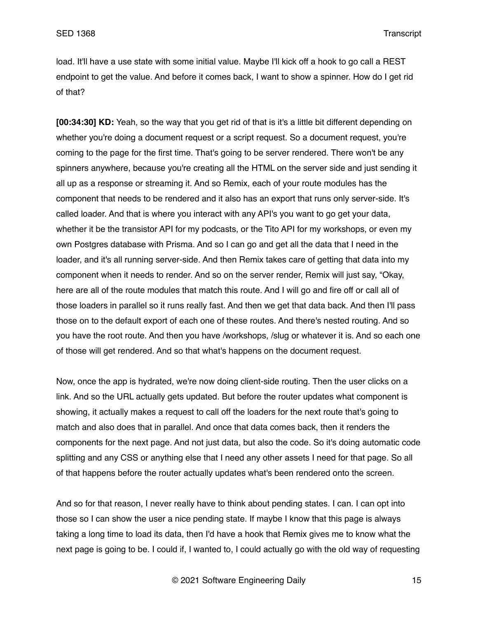load. It'll have a use state with some initial value. Maybe I'll kick off a hook to go call a REST endpoint to get the value. And before it comes back, I want to show a spinner. How do I get rid of that?

**[00:34:30] KD:** Yeah, so the way that you get rid of that is it's a little bit different depending on whether you're doing a document request or a script request. So a document request, you're coming to the page for the first time. That's going to be server rendered. There won't be any spinners anywhere, because you're creating all the HTML on the server side and just sending it all up as a response or streaming it. And so Remix, each of your route modules has the component that needs to be rendered and it also has an export that runs only server-side. It's called loader. And that is where you interact with any API's you want to go get your data, whether it be the transistor API for my podcasts, or the Tito API for my workshops, or even my own Postgres database with Prisma. And so I can go and get all the data that I need in the loader, and it's all running server-side. And then Remix takes care of getting that data into my component when it needs to render. And so on the server render, Remix will just say, "Okay, here are all of the route modules that match this route. And I will go and fire off or call all of those loaders in parallel so it runs really fast. And then we get that data back. And then I'll pass those on to the default export of each one of these routes. And there's nested routing. And so you have the root route. And then you have /workshops, /slug or whatever it is. And so each one of those will get rendered. And so that what's happens on the document request.

Now, once the app is hydrated, we're now doing client-side routing. Then the user clicks on a link. And so the URL actually gets updated. But before the router updates what component is showing, it actually makes a request to call off the loaders for the next route that's going to match and also does that in parallel. And once that data comes back, then it renders the components for the next page. And not just data, but also the code. So it's doing automatic code splitting and any CSS or anything else that I need any other assets I need for that page. So all of that happens before the router actually updates what's been rendered onto the screen.

And so for that reason, I never really have to think about pending states. I can. I can opt into those so I can show the user a nice pending state. If maybe I know that this page is always taking a long time to load its data, then I'd have a hook that Remix gives me to know what the next page is going to be. I could if, I wanted to, I could actually go with the old way of requesting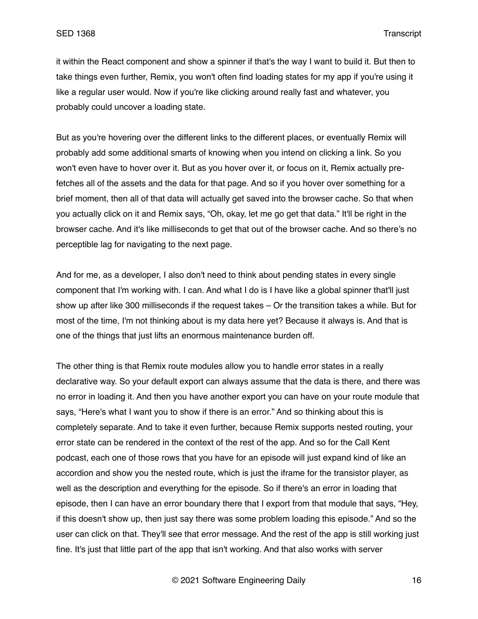it within the React component and show a spinner if that's the way I want to build it. But then to take things even further, Remix, you won't often find loading states for my app if you're using it like a regular user would. Now if you're like clicking around really fast and whatever, you probably could uncover a loading state.

But as you're hovering over the different links to the different places, or eventually Remix will probably add some additional smarts of knowing when you intend on clicking a link. So you won't even have to hover over it. But as you hover over it, or focus on it, Remix actually prefetches all of the assets and the data for that page. And so if you hover over something for a brief moment, then all of that data will actually get saved into the browser cache. So that when you actually click on it and Remix says, "Oh, okay, let me go get that data." It'll be right in the browser cache. And it's like milliseconds to get that out of the browser cache. And so there's no perceptible lag for navigating to the next page.

And for me, as a developer, I also don't need to think about pending states in every single component that I'm working with. I can. And what I do is I have like a global spinner that'll just show up after like 300 milliseconds if the request takes – Or the transition takes a while. But for most of the time, I'm not thinking about is my data here yet? Because it always is. And that is one of the things that just lifts an enormous maintenance burden off.

The other thing is that Remix route modules allow you to handle error states in a really declarative way. So your default export can always assume that the data is there, and there was no error in loading it. And then you have another export you can have on your route module that says, "Here's what I want you to show if there is an error." And so thinking about this is completely separate. And to take it even further, because Remix supports nested routing, your error state can be rendered in the context of the rest of the app. And so for the Call Kent podcast, each one of those rows that you have for an episode will just expand kind of like an accordion and show you the nested route, which is just the iframe for the transistor player, as well as the description and everything for the episode. So if there's an error in loading that episode, then I can have an error boundary there that I export from that module that says, "Hey, if this doesn't show up, then just say there was some problem loading this episode." And so the user can click on that. They'll see that error message. And the rest of the app is still working just fine. It's just that little part of the app that isn't working. And that also works with server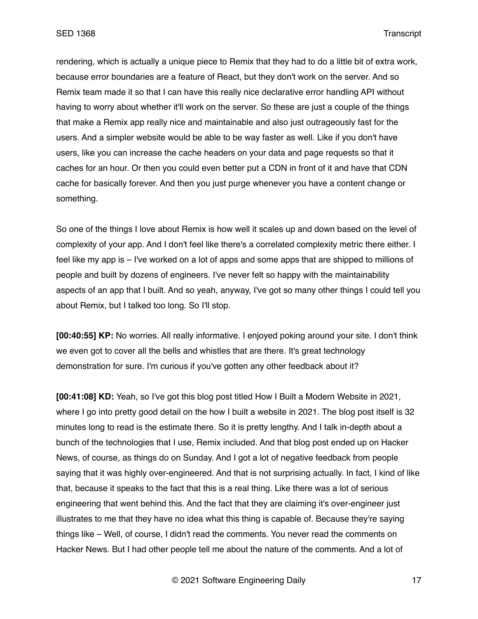rendering, which is actually a unique piece to Remix that they had to do a little bit of extra work, because error boundaries are a feature of React, but they don't work on the server. And so Remix team made it so that I can have this really nice declarative error handling API without having to worry about whether it'll work on the server. So these are just a couple of the things that make a Remix app really nice and maintainable and also just outrageously fast for the users. And a simpler website would be able to be way faster as well. Like if you don't have users, like you can increase the cache headers on your data and page requests so that it caches for an hour. Or then you could even better put a CDN in front of it and have that CDN cache for basically forever. And then you just purge whenever you have a content change or something.

So one of the things I love about Remix is how well it scales up and down based on the level of complexity of your app. And I don't feel like there's a correlated complexity metric there either. I feel like my app is – I've worked on a lot of apps and some apps that are shipped to millions of people and built by dozens of engineers. I've never felt so happy with the maintainability aspects of an app that I built. And so yeah, anyway, I've got so many other things I could tell you about Remix, but I talked too long. So I'll stop.

**[00:40:55] KP:** No worries. All really informative. I enjoyed poking around your site. I don't think we even got to cover all the bells and whistles that are there. It's great technology demonstration for sure. I'm curious if you've gotten any other feedback about it?

**[00:41:08] KD:** Yeah, so I've got this blog post titled How I Built a Modern Website in 2021, where I go into pretty good detail on the how I built a website in 2021. The blog post itself is 32 minutes long to read is the estimate there. So it is pretty lengthy. And I talk in-depth about a bunch of the technologies that I use, Remix included. And that blog post ended up on Hacker News, of course, as things do on Sunday. And I got a lot of negative feedback from people saying that it was highly over-engineered. And that is not surprising actually. In fact, I kind of like that, because it speaks to the fact that this is a real thing. Like there was a lot of serious engineering that went behind this. And the fact that they are claiming it's over-engineer just illustrates to me that they have no idea what this thing is capable of. Because they're saying things like – Well, of course, I didn't read the comments. You never read the comments on Hacker News. But I had other people tell me about the nature of the comments. And a lot of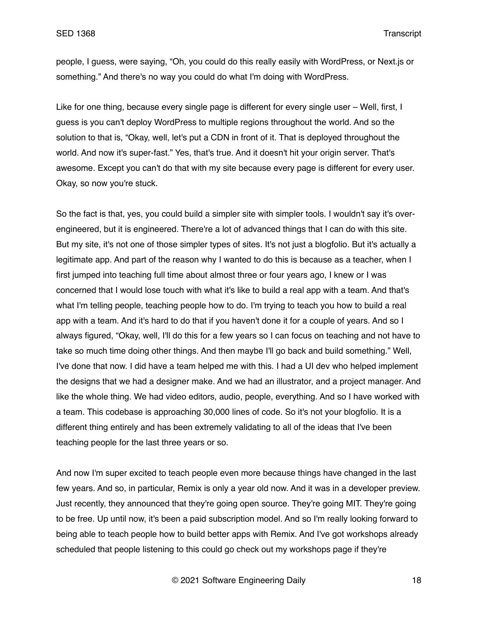people, I guess, were saying, "Oh, you could do this really easily with WordPress, or Next.js or something." And there's no way you could do what I'm doing with WordPress.

Like for one thing, because every single page is different for every single user – Well, first, I guess is you can't deploy WordPress to multiple regions throughout the world. And so the solution to that is, "Okay, well, let's put a CDN in front of it. That is deployed throughout the world. And now it's super-fast." Yes, that's true. And it doesn't hit your origin server. That's awesome. Except you can't do that with my site because every page is different for every user. Okay, so now you're stuck.

So the fact is that, yes, you could build a simpler site with simpler tools. I wouldn't say it's overengineered, but it is engineered. There're a lot of advanced things that I can do with this site. But my site, it's not one of those simpler types of sites. It's not just a blogfolio. But it's actually a legitimate app. And part of the reason why I wanted to do this is because as a teacher, when I first jumped into teaching full time about almost three or four years ago, I knew or I was concerned that I would lose touch with what it's like to build a real app with a team. And that's what I'm telling people, teaching people how to do. I'm trying to teach you how to build a real app with a team. And it's hard to do that if you haven't done it for a couple of years. And so I always figured, "Okay, well, I'll do this for a few years so I can focus on teaching and not have to take so much time doing other things. And then maybe I'll go back and build something." Well, I've done that now. I did have a team helped me with this. I had a UI dev who helped implement the designs that we had a designer make. And we had an illustrator, and a project manager. And like the whole thing. We had video editors, audio, people, everything. And so I have worked with a team. This codebase is approaching 30,000 lines of code. So it's not your blogfolio. It is a different thing entirely and has been extremely validating to all of the ideas that I've been teaching people for the last three years or so.

And now I'm super excited to teach people even more because things have changed in the last few years. And so, in particular, Remix is only a year old now. And it was in a developer preview. Just recently, they announced that they're going open source. They're going MIT. They're going to be free. Up until now, it's been a paid subscription model. And so I'm really looking forward to being able to teach people how to build better apps with Remix. And I've got workshops already scheduled that people listening to this could go check out my workshops page if they're